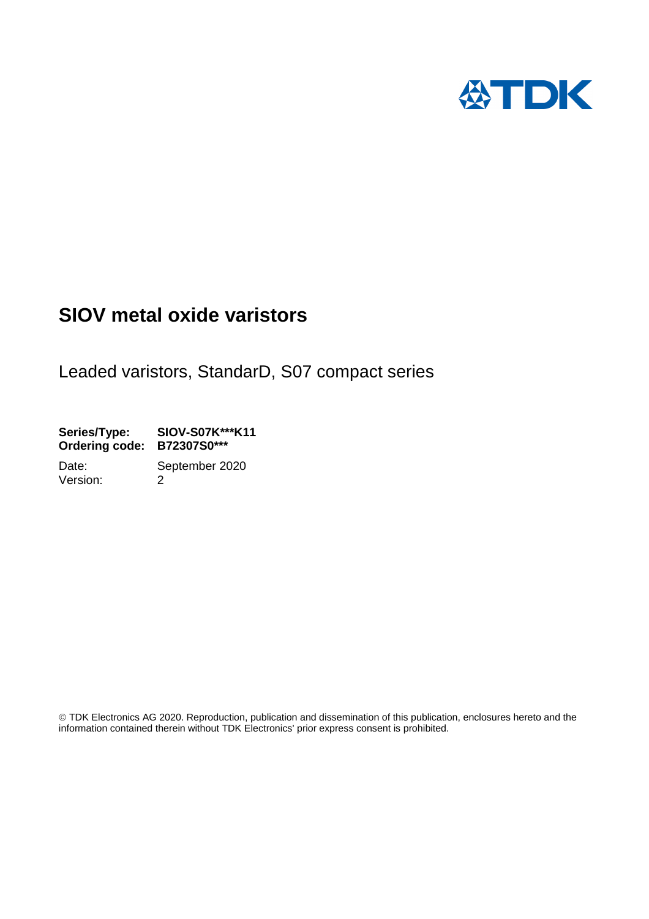

# **SIOV metal oxide varistors**

Leaded varistors, StandarD, S07 compact series

**Series/Type: SIOV-S07K\*\*\*K11 Ordering code: B72307S0\*\*\*** 

Date: September 2020 Version: 2

 TDK Electronics AG 2020. Reproduction, publication and dissemination of this publication, enclosures hereto and the information contained therein without TDK Electronics' prior express consent is prohibited.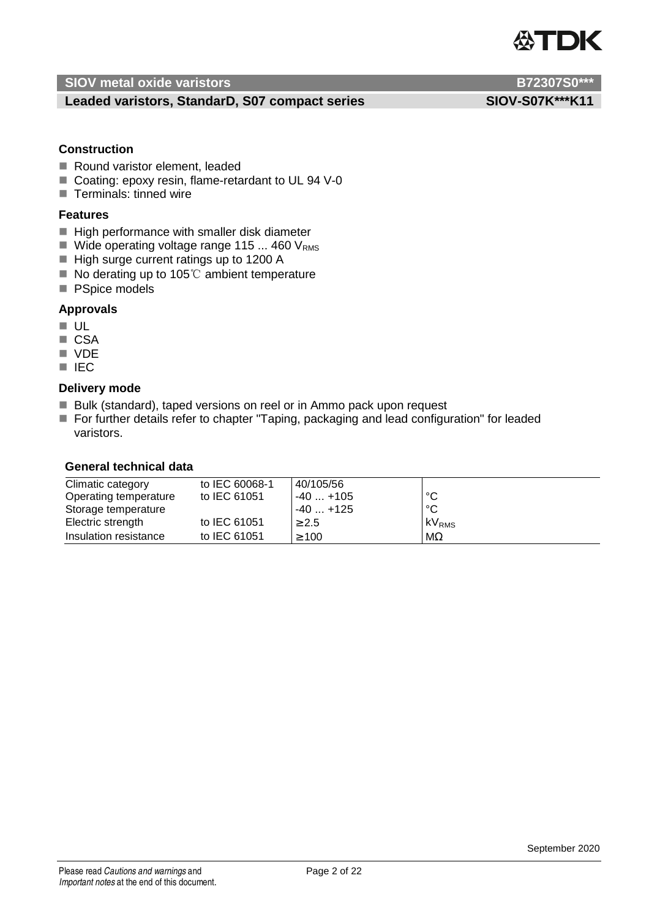

### Leaded varistors, StandarD, S07 compact series SIOV-S07K\*\*\*K11

### **Construction**

- Round varistor element, leaded
- Coating: epoxy resin, flame-retardant to UL 94 V-0
- $\blacksquare$  Terminals: tinned wire

### **Features**

- $\blacksquare$  High performance with smaller disk diameter
- $\blacksquare$  Wide operating voltage range 115 ... 460 V<sub>RMS</sub>
- High surge current ratings up to 1200 A
- No derating up to 105℃ ambient temperature
- **PSpice models**

### **Approvals**

- **UL**
- CSA
- **N** VDE
- **IEC**

### **Delivery mode**

- Bulk (standard), taped versions on reel or in Ammo pack upon request
- For further details refer to chapter "Taping, packaging and lead configuration" for leaded varistors.

### **General technical data**

| Climatic category     | to IEC 60068-1 | 40/105/56  |                   |
|-----------------------|----------------|------------|-------------------|
| Operating temperature | to IEC 61051   | $-40+105$  | °C                |
| Storage temperature   |                | $-40+125$  | °C                |
| Electric strength     | to IEC 61051   | $\geq 2.5$ | kV <sub>RMS</sub> |
| Insulation resistance | to IEC 61051   | $\geq 100$ | $M\Omega$         |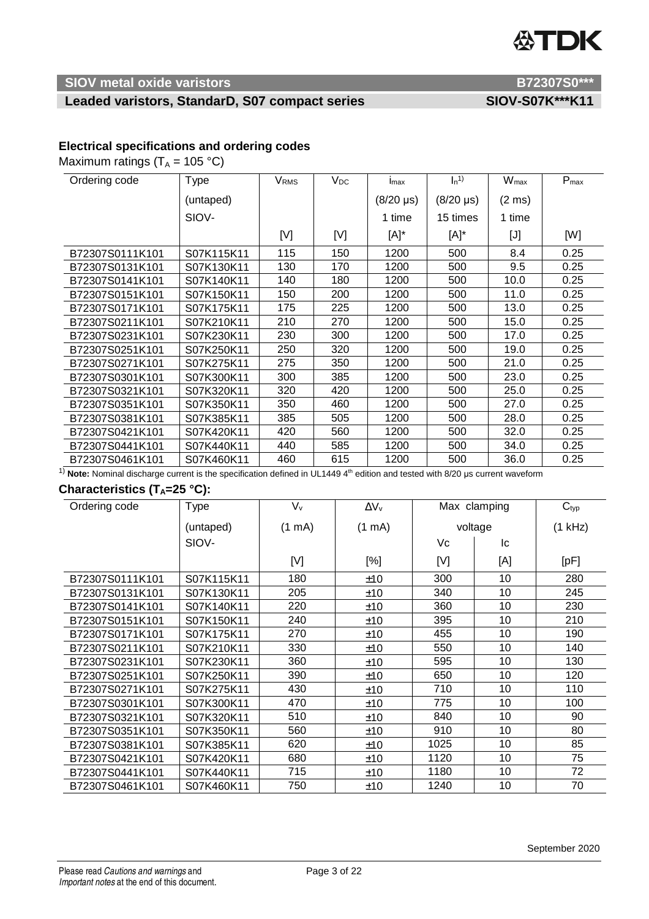# **公TDK**

### **SIOV metal oxide varistors B72307S0\*\*\***

## Leaded varistors, StandarD, S07 compact series SIOV-S07K\*\*\*K11

### **Electrical specifications and ordering codes**

Maximum ratings  $(T_A = 105 °C)$ 

| Ordering code   | <b>Type</b> | V <sub>RMS</sub> | $V_{DC}$ | Imax             | $\mathsf{I}_n$ <sup>1)</sup> | <b>W</b> <sub>max</sub> | $P_{max}$ |
|-----------------|-------------|------------------|----------|------------------|------------------------------|-------------------------|-----------|
|                 | (untaped)   |                  |          | $(8/20 \,\mu s)$ | $(8/20 \,\mu s)$             | $(2 \text{ ms})$        |           |
|                 | SIOV-       |                  |          | 1 time           | 15 times                     | 1 time                  |           |
|                 |             | [V]              | [V]      | [A]*             | [A]*                         | [J]                     | [W]       |
| B72307S0111K101 | S07K115K11  | 115              | 150      | 1200             | 500                          | 8.4                     | 0.25      |
| B72307S0131K101 | S07K130K11  | 130              | 170      | 1200             | 500                          | 9.5                     | 0.25      |
| B72307S0141K101 | S07K140K11  | 140              | 180      | 1200             | 500                          | 10.0                    | 0.25      |
| B72307S0151K101 | S07K150K11  | 150              | 200      | 1200             | 500                          | 11.0                    | 0.25      |
| B72307S0171K101 | S07K175K11  | 175              | 225      | 1200             | 500                          | 13.0                    | 0.25      |
| B72307S0211K101 | S07K210K11  | 210              | 270      | 1200             | 500                          | 15.0                    | 0.25      |
| B72307S0231K101 | S07K230K11  | 230              | 300      | 1200             | 500                          | 17.0                    | 0.25      |
| B72307S0251K101 | S07K250K11  | 250              | 320      | 1200             | 500                          | 19.0                    | 0.25      |
| B72307S0271K101 | S07K275K11  | 275              | 350      | 1200             | 500                          | 21.0                    | 0.25      |
| B72307S0301K101 | S07K300K11  | 300              | 385      | 1200             | 500                          | 23.0                    | 0.25      |
| B72307S0321K101 | S07K320K11  | 320              | 420      | 1200             | 500                          | 25.0                    | 0.25      |
| B72307S0351K101 | S07K350K11  | 350              | 460      | 1200             | 500                          | 27.0                    | 0.25      |
| B72307S0381K101 | S07K385K11  | 385              | 505      | 1200             | 500                          | 28.0                    | 0.25      |
| B72307S0421K101 | S07K420K11  | 420              | 560      | 1200             | 500                          | 32.0                    | 0.25      |
| B72307S0441K101 | S07K440K11  | 440              | 585      | 1200             | 500                          | 34.0                    | 0.25      |
| B72307S0461K101 | S07K460K11  | 460              | 615      | 1200             | 500                          | 36.0                    | 0.25      |

<sup>1)</sup> Note: Nominal discharge current is the specification defined in UL1449 4<sup>th</sup> edition and tested with 8/20 μs current waveform

# **Characteristics (TA=25 °C):**

| Ordering code   | <b>Type</b> | $V_{v}$          | $\Delta V_v$     |      | Max clamping | C <sub>typ</sub> |
|-----------------|-------------|------------------|------------------|------|--------------|------------------|
|                 | (untaped)   | $(1 \text{ mA})$ | $(1 \text{ mA})$ |      | voltage      | $(1$ kHz)        |
|                 | SIOV-       |                  |                  | Vc   | 1c           |                  |
|                 |             | [V]              | [%]              | [V]  | [A]          | [pF]             |
| B72307S0111K101 | S07K115K11  | 180              | ±10              | 300  | 10           | 280              |
| B72307S0131K101 | S07K130K11  | 205              | ±10              | 340  | 10           | 245              |
| B72307S0141K101 | S07K140K11  | 220              | ±10              | 360  | 10           | 230              |
| B72307S0151K101 | S07K150K11  | 240              | ±10              | 395  | 10           | 210              |
| B72307S0171K101 | S07K175K11  | 270              | ±10              | 455  | 10           | 190              |
| B72307S0211K101 | S07K210K11  | 330              | ±10              | 550  | 10           | 140              |
| B72307S0231K101 | S07K230K11  | 360              | ±10              | 595  | 10           | 130              |
| B72307S0251K101 | S07K250K11  | 390              | ±10              | 650  | 10           | 120              |
| B72307S0271K101 | S07K275K11  | 430              | ±10              | 710  | 10           | 110              |
| B72307S0301K101 | S07K300K11  | 470              | ±10              | 775  | 10           | 100              |
| B72307S0321K101 | S07K320K11  | 510              | ±10              | 840  | 10           | 90               |
| B72307S0351K101 | S07K350K11  | 560              | ±10              | 910  | 10           | 80               |
| B72307S0381K101 | S07K385K11  | 620              | ±10              | 1025 | 10           | 85               |
| B72307S0421K101 | S07K420K11  | 680              | ±10              | 1120 | 10           | 75               |
| B72307S0441K101 | S07K440K11  | 715              | ±10              | 1180 | 10           | 72               |
| B72307S0461K101 | S07K460K11  | 750              | ±10              | 1240 | 10           | 70               |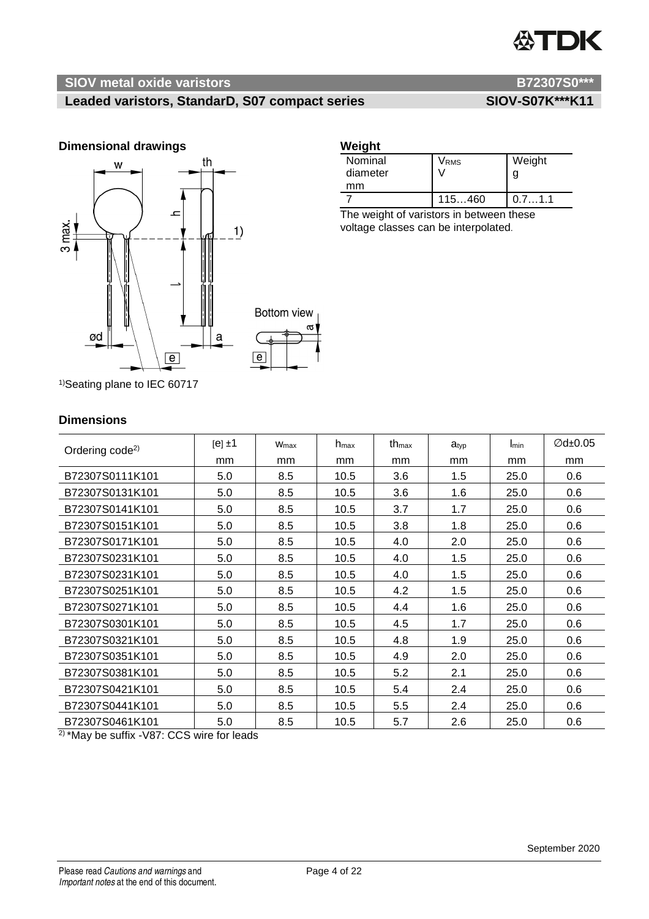# **ATDK**

# **SIOV metal oxide varistors B72307S0\*\*\***

# Leaded varistors, StandarD, S07 compact series SIOV-S07K\*\*\*K11



### **Weight**

| Nominal<br>diameter | Vrms   | Weight |
|---------------------|--------|--------|
| mm                  |        |        |
|                     | 115460 | 0.71.1 |

The weight of varistors in between these voltage classes can be interpolated.

1) Seating plane to IEC 60717

### **Dimensions**

| Ordering code <sup>2)</sup> | $[e] \pm 1$ | Wmax | $h_{\text{max}}$ | th <sub>max</sub> | $a_{\text{typ}}$ | Imin | $\varnothing$ d±0.05 |
|-----------------------------|-------------|------|------------------|-------------------|------------------|------|----------------------|
|                             | mm          | mm   | mm               | mm                | mm               | mm   | mm                   |
| B72307S0111K101             | 5.0         | 8.5  | 10.5             | 3.6               | 1.5              | 25.0 | 0.6                  |
| B72307S0131K101             | 5.0         | 8.5  | 10.5             | 3.6               | 1.6              | 25.0 | 0.6                  |
| B72307S0141K101             | 5.0         | 8.5  | 10.5             | 3.7               | 1.7              | 25.0 | 0.6                  |
| B72307S0151K101             | 5.0         | 8.5  | 10.5             | 3.8               | 1.8              | 25.0 | 0.6                  |
| B72307S0171K101             | 5.0         | 8.5  | 10.5             | 4.0               | 2.0              | 25.0 | 0.6                  |
| B72307S0231K101             | 5.0         | 8.5  | 10.5             | 4.0               | 1.5              | 25.0 | 0.6                  |
| B72307S0231K101             | 5.0         | 8.5  | 10.5             | 4.0               | 1.5              | 25.0 | 0.6                  |
| B72307S0251K101             | 5.0         | 8.5  | 10.5             | 4.2               | 1.5              | 25.0 | 0.6                  |
| B72307S0271K101             | 5.0         | 8.5  | 10.5             | 4.4               | 1.6              | 25.0 | 0.6                  |
| B72307S0301K101             | 5.0         | 8.5  | 10.5             | 4.5               | 1.7              | 25.0 | 0.6                  |
| B72307S0321K101             | 5.0         | 8.5  | 10.5             | 4.8               | 1.9              | 25.0 | 0.6                  |
| B72307S0351K101             | 5.0         | 8.5  | 10.5             | 4.9               | 2.0              | 25.0 | 0.6                  |
| B72307S0381K101             | 5.0         | 8.5  | 10.5             | 5.2               | 2.1              | 25.0 | 0.6                  |
| B72307S0421K101             | 5.0         | 8.5  | 10.5             | 5.4               | 2.4              | 25.0 | 0.6                  |
| B72307S0441K101             | 5.0         | 8.5  | 10.5             | 5.5               | 2.4              | 25.0 | 0.6                  |
| B72307S0461K101             | 5.0         | 8.5  | 10.5             | 5.7               | 2.6              | 25.0 | 0.6                  |

2) \*May be suffix -V87: CCS wire for leads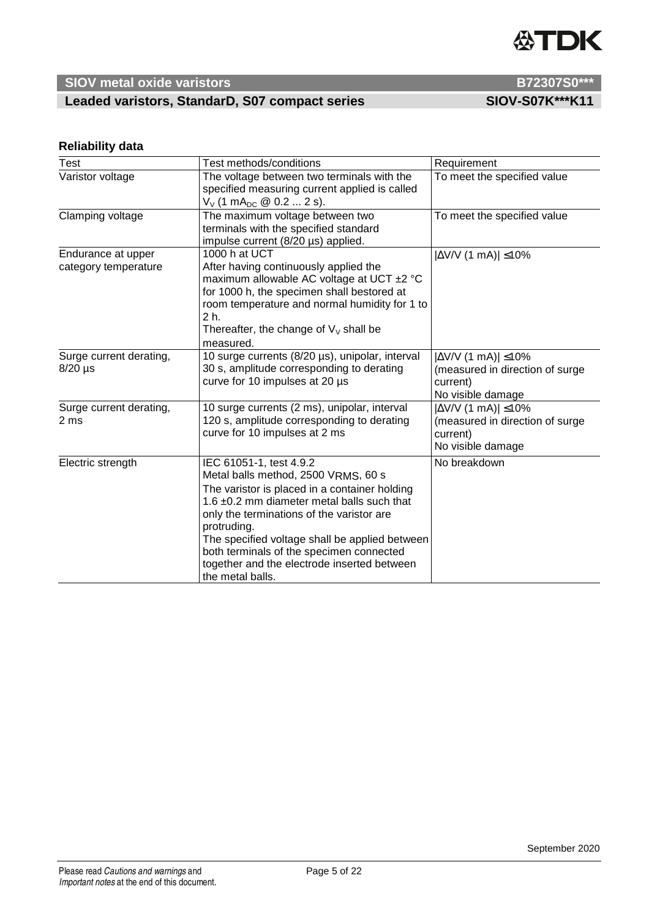# **公TDK**

# **SIOV** metal oxide varistors **B72307S0\*\*\***

# Leaded varistors, StandarD, S07 compact series SIOV-S07K\*\*\*K11

## **Reliability data**

| Test                                       | Test methods/conditions                                                                                                                                                                                                                                                                                                                                                                    | Requirement                                                                                          |
|--------------------------------------------|--------------------------------------------------------------------------------------------------------------------------------------------------------------------------------------------------------------------------------------------------------------------------------------------------------------------------------------------------------------------------------------------|------------------------------------------------------------------------------------------------------|
| Varistor voltage                           | The voltage between two terminals with the<br>specified measuring current applied is called<br>$V_V$ (1 mA <sub>DC</sub> @ 0.2  2 s).                                                                                                                                                                                                                                                      | To meet the specified value                                                                          |
| Clamping voltage                           | The maximum voltage between two<br>terminals with the specified standard<br>impulse current (8/20 µs) applied.                                                                                                                                                                                                                                                                             | To meet the specified value                                                                          |
| Endurance at upper<br>category temperature | 1000 h at UCT<br>After having continuously applied the<br>maximum allowable AC voltage at UCT ±2 °C<br>for 1000 h, the specimen shall bestored at<br>room temperature and normal humidity for 1 to<br>2 h.<br>Thereafter, the change of $V_V$ shall be<br>measured.                                                                                                                        | $ \Delta$ V/V (1 mA)  $\leq$ 10%                                                                     |
| Surge current derating,<br>$8/20$ µs       | 10 surge currents (8/20 µs), unipolar, interval<br>30 s, amplitude corresponding to derating<br>curve for 10 impulses at 20 µs                                                                                                                                                                                                                                                             | $ \Delta$ V/V (1 mA)  $\leq$ 10%<br>(measured in direction of surge<br>current)<br>No visible damage |
| Surge current derating,<br>2 ms            | 10 surge currents (2 ms), unipolar, interval<br>120 s, amplitude corresponding to derating<br>curve for 10 impulses at 2 ms                                                                                                                                                                                                                                                                | $ \Delta$ V/V (1 mA)  $\leq$ 10%<br>(measured in direction of surge<br>current)<br>No visible damage |
| Electric strength                          | IEC 61051-1, test 4.9.2<br>Metal balls method, 2500 VRMS, 60 s<br>The varistor is placed in a container holding<br>1.6 ±0.2 mm diameter metal balls such that<br>only the terminations of the varistor are<br>protruding.<br>The specified voltage shall be applied between<br>both terminals of the specimen connected<br>together and the electrode inserted between<br>the metal balls. | No breakdown                                                                                         |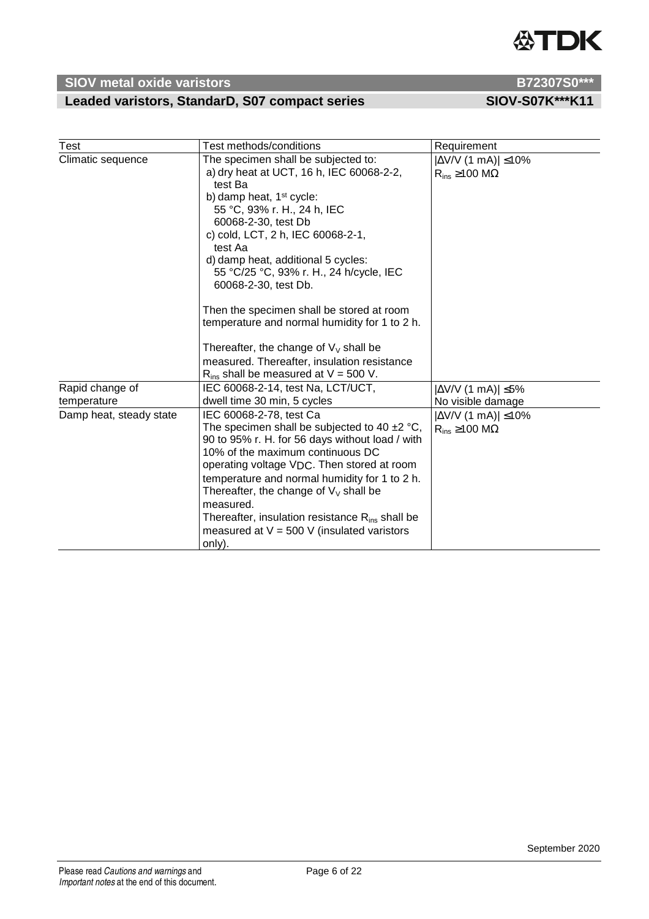# **公TDK**

# **SIOV** metal oxide varistors **B72307S0\*\*\***

## Leaded varistors, StandarD, S07 compact series SIOV-S07K\*\*\*K11

| Test                                                      | Test methods/conditions                                                                                                                                                                                                                                                                                                                                                                                                                                                                                                                                                                   | Requirement                                                                                                              |
|-----------------------------------------------------------|-------------------------------------------------------------------------------------------------------------------------------------------------------------------------------------------------------------------------------------------------------------------------------------------------------------------------------------------------------------------------------------------------------------------------------------------------------------------------------------------------------------------------------------------------------------------------------------------|--------------------------------------------------------------------------------------------------------------------------|
| Climatic sequence                                         | The specimen shall be subjected to:<br>a) dry heat at UCT, 16 h, IEC 60068-2-2,<br>test Ba<br>b) damp heat, 1 <sup>st</sup> cycle:<br>55 °C, 93% r. H., 24 h, IEC<br>60068-2-30, test Db<br>c) cold, LCT, 2 h, IEC 60068-2-1,<br>test Aa<br>d) damp heat, additional 5 cycles:<br>55 °C/25 °C, 93% r. H., 24 h/cycle, IEC<br>60068-2-30, test Db.<br>Then the specimen shall be stored at room<br>temperature and normal humidity for 1 to 2 h.<br>Thereafter, the change of $V_v$ shall be<br>measured. Thereafter, insulation resistance<br>$R_{ins}$ shall be measured at $V = 500$ V. | $ \Delta$ V/V (1 mA)  $\leq$ 10%<br>$R_{ins} \ge 100$ M $\Omega$                                                         |
| Rapid change of<br>temperature<br>Damp heat, steady state | IEC 60068-2-14, test Na, LCT/UCT,<br>dwell time 30 min, 5 cycles<br>IEC 60068-2-78, test Ca<br>The specimen shall be subjected to 40 $\pm$ 2 °C,<br>90 to 95% r. H. for 56 days without load / with<br>10% of the maximum continuous DC<br>operating voltage VDC. Then stored at room<br>temperature and normal humidity for 1 to 2 h.<br>Thereafter, the change of $V_V$ shall be<br>measured.<br>Thereafter, insulation resistance $R_{ins}$ shall be<br>measured at $V = 500$ V (insulated varistors                                                                                   | $ \Delta V/V$ (1 mA)  $\leq$ 5%<br>No visible damage<br>$ \Delta$ V/V (1 mA) $ \leq$ 10%<br>$R_{ins} \ge 100$ M $\Omega$ |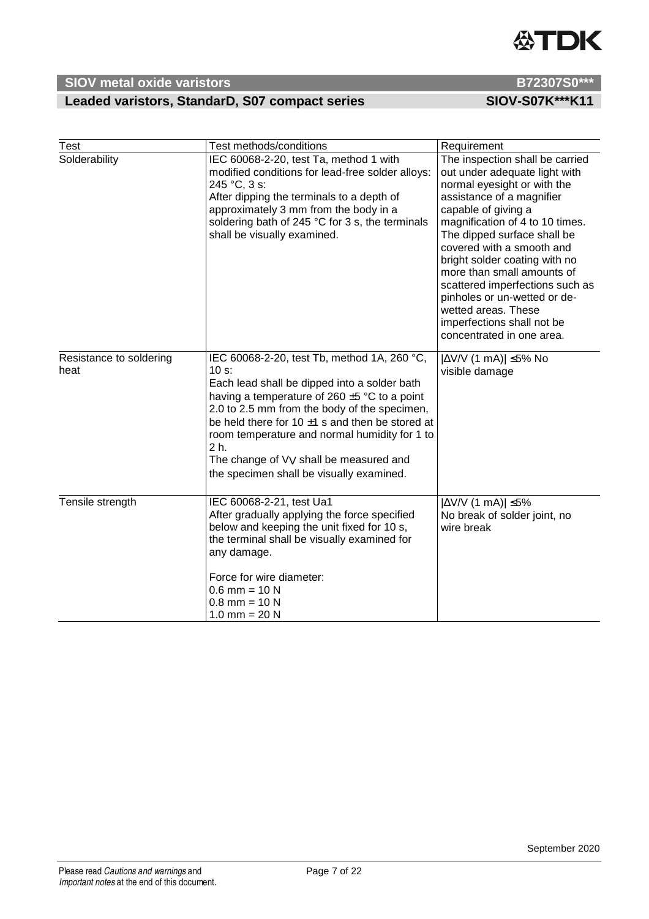## Leaded varistors, StandarD, S07 compact series SIOV-S07K\*\*\*K11

| Test                            | Test methods/conditions                                                                                                                                                                                                                                                                                                                                                                                             | Requirement                                                                                                                                                                                                                                                                                                                                                                                                                                                            |
|---------------------------------|---------------------------------------------------------------------------------------------------------------------------------------------------------------------------------------------------------------------------------------------------------------------------------------------------------------------------------------------------------------------------------------------------------------------|------------------------------------------------------------------------------------------------------------------------------------------------------------------------------------------------------------------------------------------------------------------------------------------------------------------------------------------------------------------------------------------------------------------------------------------------------------------------|
| Solderability                   | IEC 60068-2-20, test Ta, method 1 with<br>modified conditions for lead-free solder alloys:<br>245 °C, 3 s:<br>After dipping the terminals to a depth of<br>approximately 3 mm from the body in a<br>soldering bath of 245 °C for 3 s, the terminals<br>shall be visually examined.                                                                                                                                  | The inspection shall be carried<br>out under adequate light with<br>normal eyesight or with the<br>assistance of a magnifier<br>capable of giving a<br>magnification of 4 to 10 times.<br>The dipped surface shall be<br>covered with a smooth and<br>bright solder coating with no<br>more than small amounts of<br>scattered imperfections such as<br>pinholes or un-wetted or de-<br>wetted areas. These<br>imperfections shall not be<br>concentrated in one area. |
| Resistance to soldering<br>heat | IEC 60068-2-20, test Tb, method 1A, 260 °C,<br>$10 s$ :<br>Each lead shall be dipped into a solder bath<br>having a temperature of 260 $\pm$ 5 °C to a point<br>2.0 to 2.5 mm from the body of the specimen,<br>be held there for 10 $\pm$ 1 s and then be stored at<br>room temperature and normal humidity for 1 to<br>2 h.<br>The change of VV shall be measured and<br>the specimen shall be visually examined. | $ \Delta$ V/V (1 mA)  $\leq$ 5% No<br>visible damage                                                                                                                                                                                                                                                                                                                                                                                                                   |
| Tensile strength                | IEC 60068-2-21, test Ua1<br>After gradually applying the force specified<br>below and keeping the unit fixed for 10 s,<br>the terminal shall be visually examined for<br>any damage.<br>Force for wire diameter:<br>$0.6$ mm = 10 N<br>$0.8$ mm = 10 N<br>$1.0$ mm = 20 N                                                                                                                                           | $ \Delta$ V/V (1 mA)  $\leq$ 5%<br>No break of solder joint, no<br>wire break                                                                                                                                                                                                                                                                                                                                                                                          |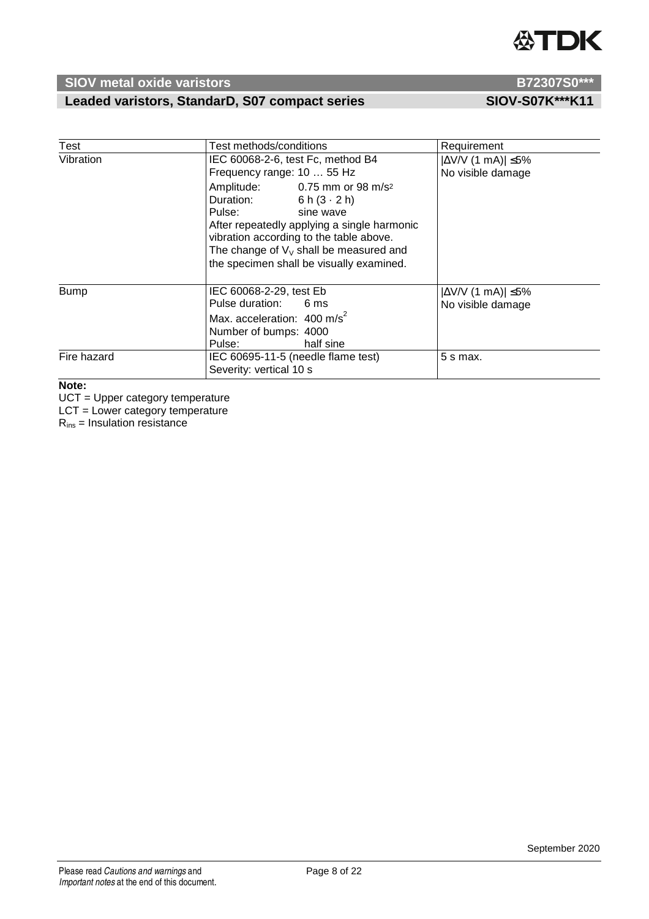

# Leaded varistors, StandarD, S07 compact series SIOV-S07K\*\*\*K11

| Test        | Test methods/conditions                                                                                                                                                                                                                                                           | Requirement                                          |
|-------------|-----------------------------------------------------------------------------------------------------------------------------------------------------------------------------------------------------------------------------------------------------------------------------------|------------------------------------------------------|
| Vibration   | IEC 60068-2-6, test Fc, method B4<br>Frequency range: 10  55 Hz                                                                                                                                                                                                                   | $ \Delta V/V$ (1 mA)  $\leq$ 5%<br>No visible damage |
|             | Amplitude: 0.75 mm or 98 m/s <sup>2</sup><br>Duration: $6 h (3 \cdot 2 h)$<br>Pulse: sine wave<br>After repeatedly applying a single harmonic<br>vibration according to the table above.<br>The change of $V_V$ shall be measured and<br>the specimen shall be visually examined. |                                                      |
| <b>Bump</b> | IEC 60068-2-29, test Eb<br>Pulse duration: 6 ms<br>Max. acceleration: $400 \text{ m/s}^2$<br>Number of bumps: 4000<br>Pulse: <b>Example</b><br>half sine                                                                                                                          | $ \Delta V/V$ (1 mA)  $\leq$ 5%<br>No visible damage |
| Fire hazard | IEC 60695-11-5 (needle flame test)<br>Severity: vertical 10 s                                                                                                                                                                                                                     | $5 s$ max.                                           |

### **Note:**

UCT = Upper category temperature

LCT = Lower category temperature

Rins = Insulation resistance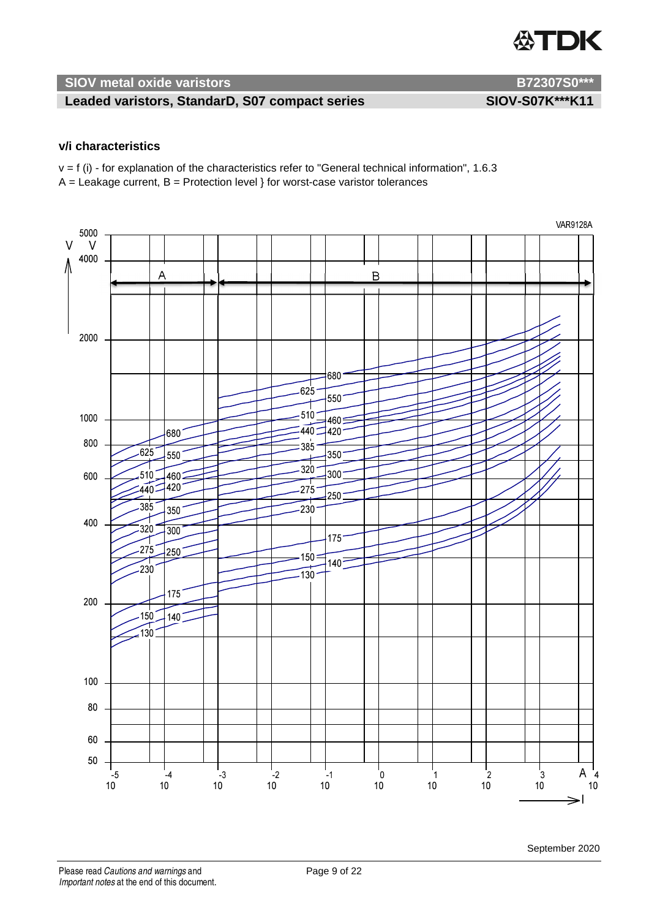

### Leaded varistors, StandarD, S07 compact series SIOV-S07K\*\*\*K11

### **v/i characteristics**

 $v = f(i)$  - for explanation of the characteristics refer to "General technical information", 1.6.3  $A =$  Leakage current,  $B =$  Protection level } for worst-case varistor tolerances

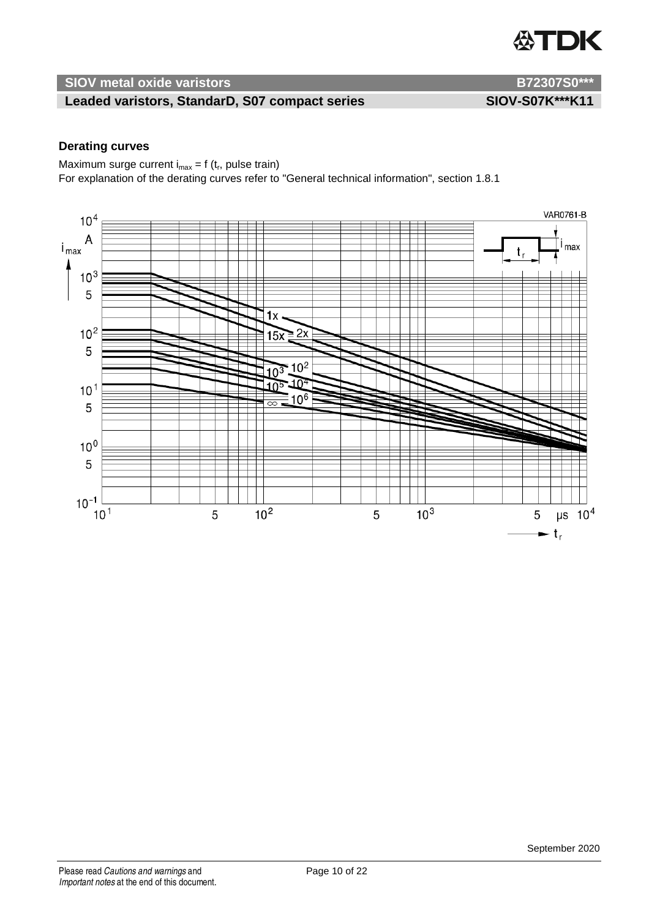

### Leaded varistors, StandarD, S07 compact series SIOV-S07K\*\*\*K11

### **Derating curves**

Maximum surge current  $i_{max} = f(t_r)$ , pulse train) For explanation of the derating curves refer to "General technical information", section 1.8.1

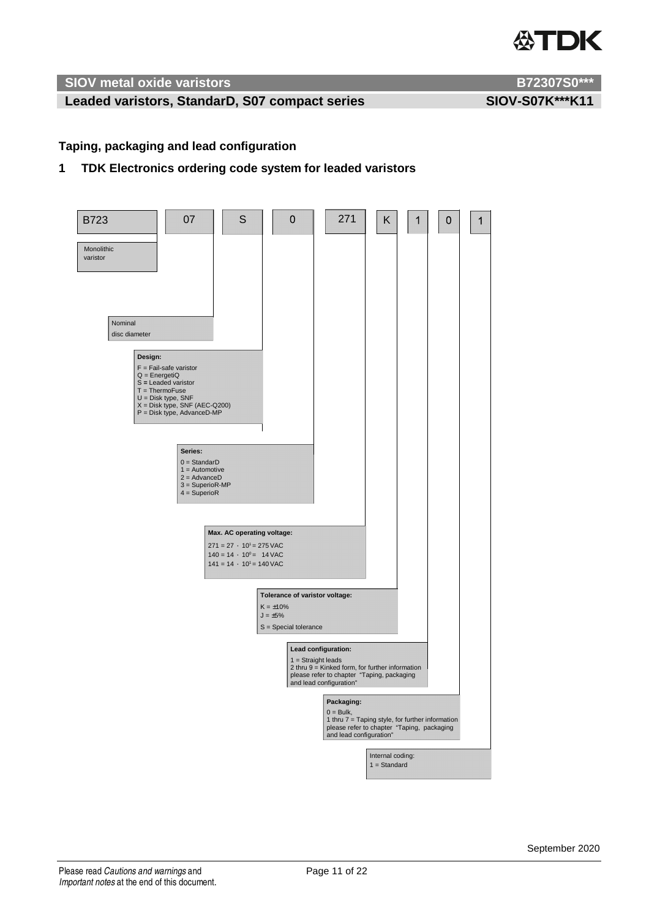

### Leaded varistors, StandarD, S07 compact series SIOV-S07K\*\*\*K11

### **Taping, packaging and lead configuration**

### **1 TDK Electronics ordering code system for leaded varistors**

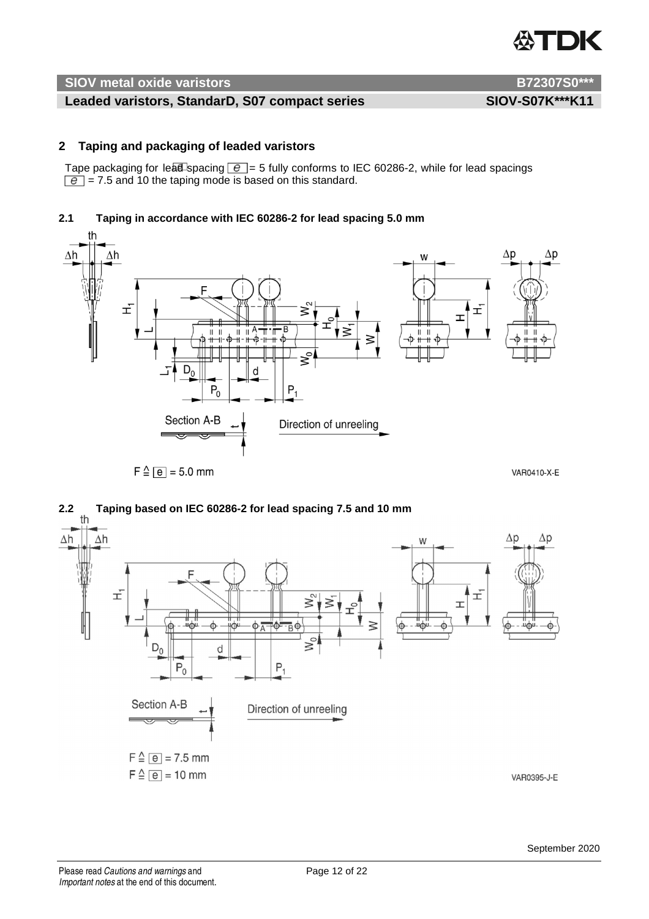

### Leaded varistors, StandarD, S07 compact series SIOV-S07K\*\*\*K11

### **2 Taping and packaging of leaded varistors**

Tape packaging for lead spacing  $\boxed{e}$  = 5 fully conforms to IEC 60286-2, while for lead spacings  $\boxed{e}$  = 7.5 and 10 the taping mode is based on this standard.

### **2.1 Taping in accordance with IEC 60286-2 for lead spacing 5.0 mm**



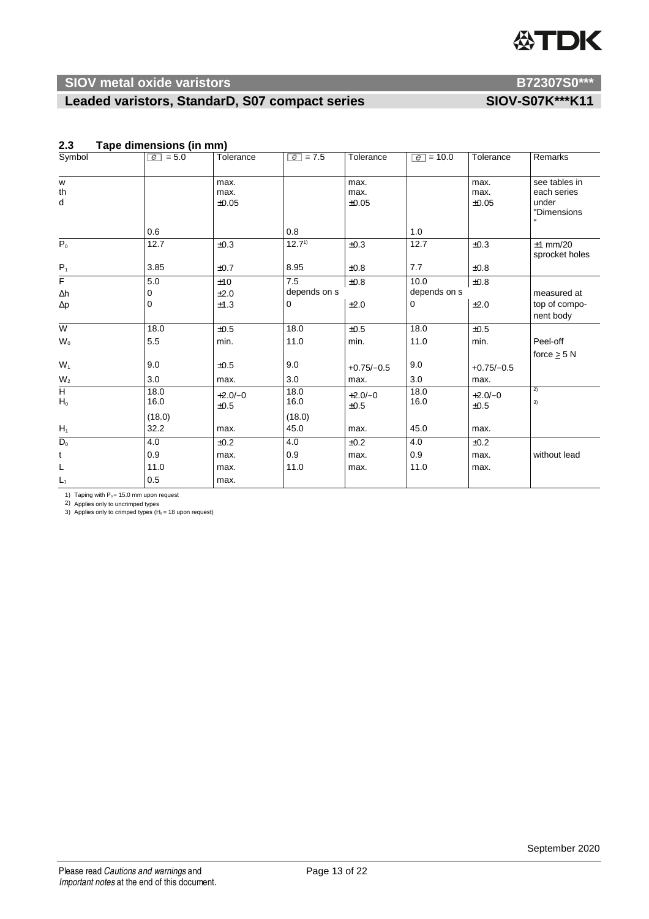# **公TDK**

## **SIOV** metal oxide varistors **B72307S0\*\*\***

## Leaded varistors, StandarD, S07 compact series SIOV-S07K\*\*\*K11

| Symbol                               | $\boxed{e}$ = 5.0 | Tolerance             | $\boxed{e}$ = 7.5 | Tolerance             | $\boxed{e}$ = 10.0 | Tolerance             | Remarks                                              |
|--------------------------------------|-------------------|-----------------------|-------------------|-----------------------|--------------------|-----------------------|------------------------------------------------------|
| W<br>th<br>d                         |                   | max.<br>max.<br>±0.05 |                   | max.<br>max.<br>±0.05 |                    | max.<br>max.<br>±0.05 | see tables in<br>each series<br>under<br>"Dimensions |
|                                      | 0.6               |                       | 0.8               |                       | 1.0                |                       |                                                      |
| $\overline{P_0}$                     | 12.7              | ±0.3                  | $12.7^{1}$        | ±0.3                  | 12.7               | ±0.3                  | $±1$ mm/20<br>sprocket holes                         |
| $P_1$                                | 3.85              | ±0.7                  | 8.95              | ±0.8                  | 7.7                | ±0.8                  |                                                      |
| $\overline{F}$                       | 5.0               | ±10                   | 7.5               | ±0.8                  | 10.0               | $\pm 0.8$             |                                                      |
| $\Delta h$                           | 0                 | ±2.0                  | depends on s      |                       | depends on s       |                       | measured at                                          |
| $\Delta p$                           | $\mathbf 0$       | ±1.3                  | 0                 | ±2.0                  | $\Omega$           | ±2.0                  | top of compo-<br>nent body                           |
| $\overline{W}$                       | 18.0              | $\pm 0.5$             | 18.0              | ±0.5                  | 18.0               | $\pm 0.5$             |                                                      |
| $\mathsf{W}_{\scriptscriptstyle{0}}$ | 5.5               | min.                  | 11.0              | min.                  | 11.0               | min.                  | Peel-off                                             |
|                                      |                   |                       |                   |                       |                    |                       | force $>$ 5 N                                        |
| $W_1$                                | 9.0               | ±0.5                  | 9.0               | $+0.75/-0.5$          | 9.0                | $+0.75/-0.5$          |                                                      |
| W <sub>2</sub>                       | 3.0               | max.                  | 3.0               | max.                  | 3.0                | max.                  |                                                      |
| $\overline{H}$<br>$H_0$              | 18.0<br>16.0      | $+2.0/-0$<br>±0.5     | 18.0<br>16.0      | $+2.0/-0$<br>±0.5     | 18.0<br>16.0       | $+2.0/-0$<br>±0.5     | 2)<br>3)                                             |
|                                      | (18.0)            |                       | (18.0)            |                       |                    |                       |                                                      |
| $H_1$                                | 32.2              | max.                  | 45.0              | max.                  | 45.0               | max.                  |                                                      |
| $\overline{D_0}$                     | 4.0               | ±0.2                  | 4.0               | ±0.2                  | 4.0                | ±0.2                  |                                                      |
| t                                    | 0.9               | max.                  | 0.9               | max.                  | 0.9                | max.                  | without lead                                         |
| L                                    | 11.0              | max.                  | 11.0              | max.                  | 11.0               | max.                  |                                                      |
| $L_1$                                | 0.5               | max.                  |                   |                       |                    |                       |                                                      |

### **2.3 Tape dimensions (in mm)**

1) Taping with  $P_0 = 15.0$  mm upon request

2) Applies only to uncrimped types<br>3) Applies only to crimped types (H $_{\mathrm{o}}$ = 18 upon request)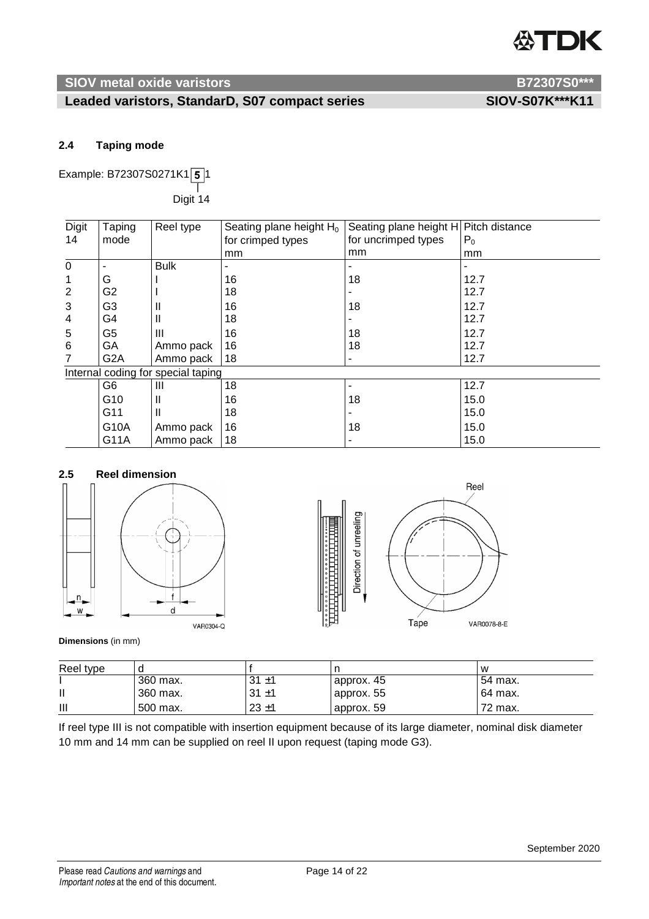# TDK

### **SIOV metal oxide varistors** B72307S0\*\*\*

### Leaded varistors, StandarD, S07 compact series SIOV-S07K\*\*\*K11

### **2.4 Taping mode**

Example: B72307S0271K1 $\sqrt{5}$ 1  $\top$ Digit 14

| <b>Digit</b>   | Taping           | Reel type                          | Seating plane height $H_0$ | Seating plane height H Pitch distance |       |
|----------------|------------------|------------------------------------|----------------------------|---------------------------------------|-------|
| 14             | mode             |                                    | for crimped types          | for uncrimped types                   | $P_0$ |
|                |                  |                                    | mm                         | mm                                    | mm    |
| $\mathbf 0$    |                  | <b>Bulk</b>                        |                            |                                       |       |
|                | G                |                                    | 16                         | 18                                    | 12.7  |
| $\overline{2}$ | G2               |                                    | 18                         |                                       | 12.7  |
| 3              | G3               | Ш                                  | 16                         | 18                                    | 12.7  |
| 4              | G4               | Ш                                  | 18                         |                                       | 12.7  |
| 5              | G5               | Ш                                  | 16                         | 18                                    | 12.7  |
| 6              | GA               | Ammo pack                          | 16                         | 18                                    | 12.7  |
|                | G <sub>2</sub> A | Ammo pack                          | 18                         |                                       | 12.7  |
|                |                  | Internal coding for special taping |                            |                                       |       |
|                | G6               | Ш                                  | 18                         |                                       | 12.7  |
|                | G <sub>10</sub>  |                                    | 16                         | 18                                    | 15.0  |
|                | G11              | H                                  | 18                         |                                       | 15.0  |
|                | G10A             | Ammo pack                          | 16                         | 18                                    | 15.0  |
|                | G11A             | Ammo pack                          | 18                         |                                       | 15.0  |

## **2.5 Reel dimension**





### **Dimensions** (in mm)

| Reel type |          |          |            | w       |
|-----------|----------|----------|------------|---------|
|           | 360 max. | $31 + 1$ | approx. 45 | 54 max. |
|           | 360 max. | $31 + 1$ | approx. 55 | 64 max. |
| Ш         | 500 max. | $23 + 1$ | approx. 59 | 72 max. |

If reel type III is not compatible with insertion equipment because of its large diameter, nominal disk diameter 10 mm and 14 mm can be supplied on reel II upon request (taping mode G3).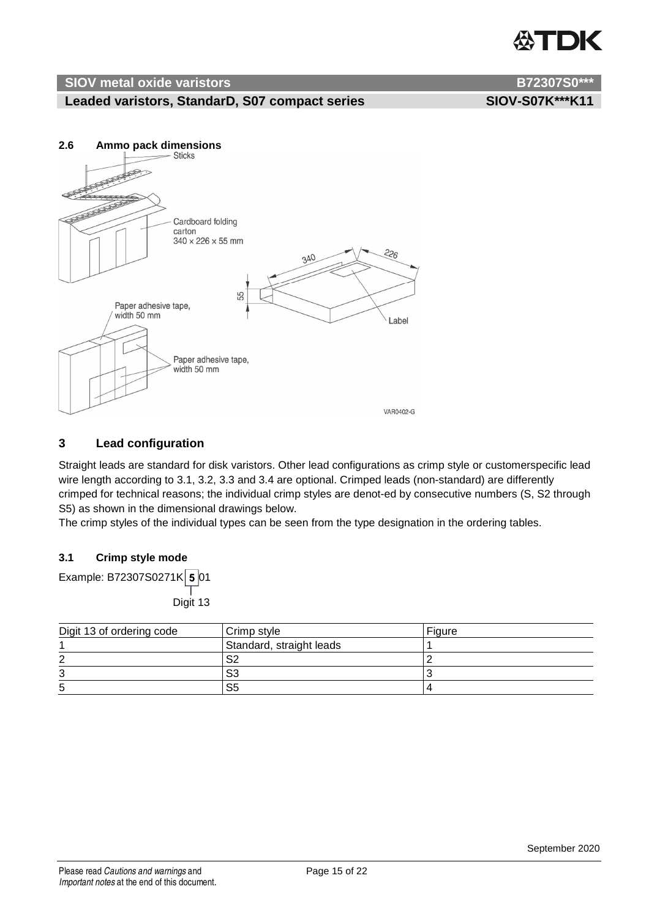# ITDK

### **SIOV metal oxide varistors B72307S0\*\*\***

### Leaded varistors, StandarD, S07 compact series SIOV-S07K\*\*\*K11



### **3 Lead configuration**

Straight leads are standard for disk varistors. Other lead configurations as crimp style or customerspecific lead wire length according to 3.1, 3.2, 3.3 and 3.4 are optional. Crimped leads (non-standard) are differently crimped for technical reasons; the individual crimp styles are denot-ed by consecutive numbers (S, S2 through S5) as shown in the dimensional drawings below.

The crimp styles of the individual types can be seen from the type designation in the ordering tables.

### **3.1 Crimp style mode**

Example: B72307S0271K  $5$  01  $\top$ Digit 13

| Digit 13 of ordering code | Crimp style              | Figure |
|---------------------------|--------------------------|--------|
|                           | Standard, straight leads |        |
| റ                         | S2                       |        |
| ົ                         | S <sub>3</sub>           |        |
| 5                         | S5                       |        |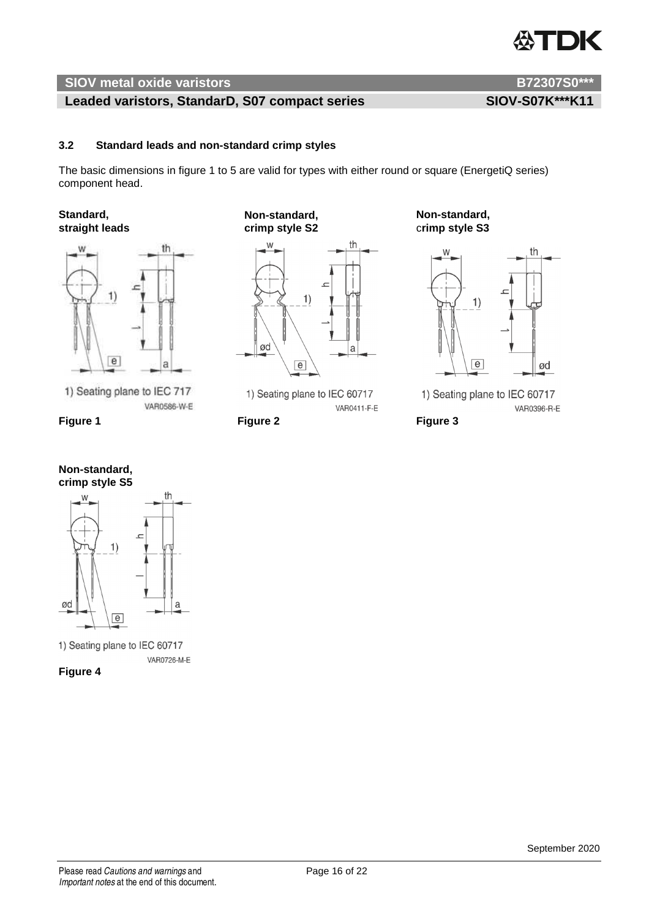# TDK

### **SIOV metal oxide varistors B72307S0\*\*\***

### Leaded varistors, StandarD, S07 compact series SIOV-S07K\*\*\*K11

### **3.2 Standard leads and non-standard crimp styles**

The basic dimensions in figure 1 to 5 are valid for types with either round or square (EnergetiQ series) component head.



1) Seating plane to IEC 717 VAR0586-W-E

**Figure 1** Figure 2 **Figure 2** Figure 3





1) Seating plane to IEC 60717 VAR0726-M-E

**Figure 4**

**straight leads crimp style S2** c**rimp style S3** 



1) Seating plane to IEC 60717 VAR0411-F-E

**Standard, Non-standard, Non-standard,** 



1) Seating plane to IEC 60717 VAR0396-R-E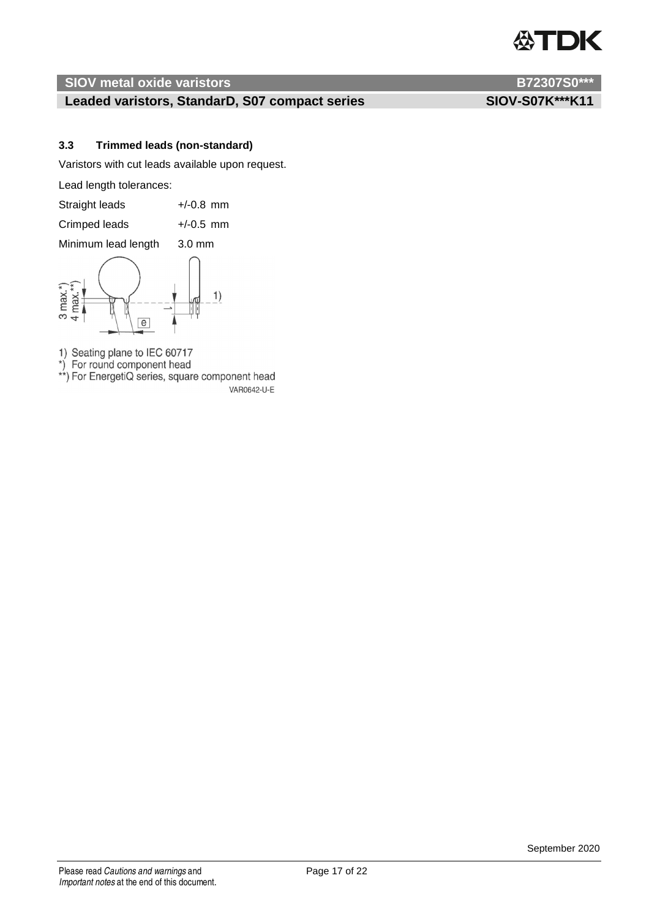# DK

### **SIOV metal oxide varistors B72307S0\*\*\***

### Leaded varistors, StandarD, S07 compact series SIOV-S07K\*\*\*K11

### **3.3 Trimmed leads (non-standard)**

Varistors with cut leads available upon request.

Lead length tolerances:

| Straight leads | $+/-0.8$ mm |
|----------------|-------------|
| Crimped leads  | $+/-0.5$ mm |

Minimum lead length 3.0 mm



1) Seating plane to IEC 60717<br>\*) For round component head<br>\*\*) For EnergetiQ series, square component head VAR0642-U-E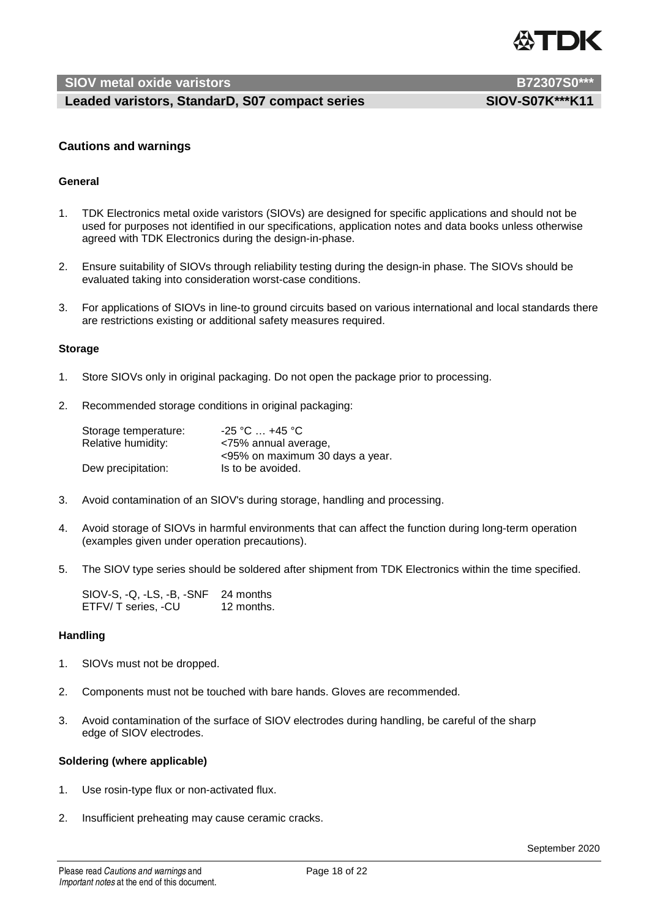

### Leaded varistors, StandarD, S07 compact series SIOV-S07K\*\*\*K11

### **Cautions and warnings**

### **General**

- 1. TDK Electronics metal oxide varistors (SIOVs) are designed for specific applications and should not be used for purposes not identified in our specifications, application notes and data books unless otherwise agreed with TDK Electronics during the design-in-phase.
- 2. Ensure suitability of SIOVs through reliability testing during the design-in phase. The SIOVs should be evaluated taking into consideration worst-case conditions.
- 3. For applications of SIOVs in line-to ground circuits based on various international and local standards there are restrictions existing or additional safety measures required.

### **Storage**

- 1. Store SIOVs only in original packaging. Do not open the package prior to processing.
- 2. Recommended storage conditions in original packaging:

| Storage temperature: | $-25$ °C $\dots$ +45 °C $^{\circ}$ |
|----------------------|------------------------------------|
| Relative humidity:   | <75% annual average,               |
|                      | <95% on maximum 30 days a year.    |
| Dew precipitation:   | Is to be avoided.                  |

- 3. Avoid contamination of an SIOV's during storage, handling and processing.
- 4. Avoid storage of SIOVs in harmful environments that can affect the function during long-term operation (examples given under operation precautions).
- 5. The SIOV type series should be soldered after shipment from TDK Electronics within the time specified.

SIOV-S, -Q, -LS, -B, -SNF 24 months ETFV/ T series, -CU 12 months.

### **Handling**

- 1. SIOVs must not be dropped.
- 2. Components must not be touched with bare hands. Gloves are recommended.
- 3. Avoid contamination of the surface of SIOV electrodes during handling, be careful of the sharp edge of SIOV electrodes.

### **Soldering (where applicable)**

- 1. Use rosin-type flux or non-activated flux.
- 2. Insufficient preheating may cause ceramic cracks.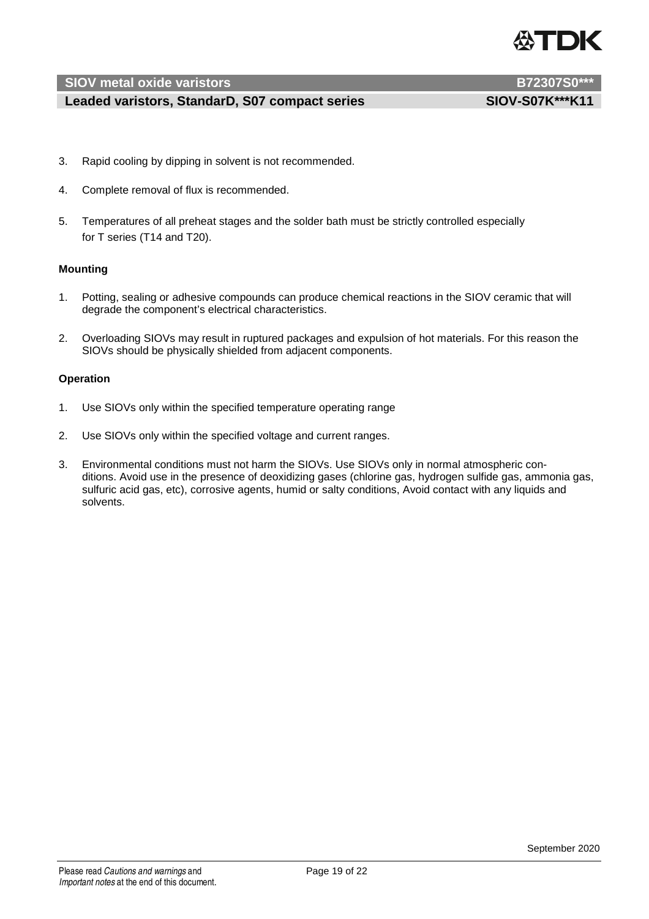

### Leaded varistors, StandarD, S07 compact series SIOV-S07K\*\*\*K11

- 3. Rapid cooling by dipping in solvent is not recommended.
- 4. Complete removal of flux is recommended.
- 5. Temperatures of all preheat stages and the solder bath must be strictly controlled especially for T series (T14 and T20).

### **Mounting**

- 1. Potting, sealing or adhesive compounds can produce chemical reactions in the SIOV ceramic that will degrade the component's electrical characteristics.
- 2. Overloading SIOVs may result in ruptured packages and expulsion of hot materials. For this reason the SIOVs should be physically shielded from adjacent components.

### **Operation**

- 1. Use SIOVs only within the specified temperature operating range
- 2. Use SIOVs only within the specified voltage and current ranges.
- 3. Environmental conditions must not harm the SIOVs. Use SIOVs only in normal atmospheric conditions. Avoid use in the presence of deoxidizing gases (chlorine gas, hydrogen sulfide gas, ammonia gas, sulfuric acid gas, etc), corrosive agents, humid or salty conditions, Avoid contact with any liquids and solvents.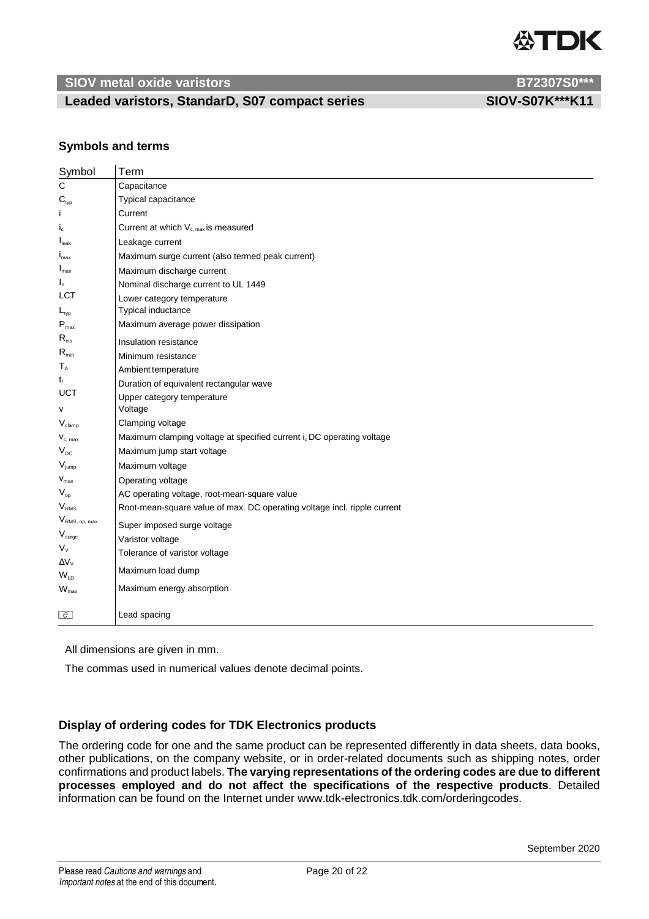

### Leaded varistors, StandarD, S07 compact series SIOV-S07K\*\*\*K11

### **Symbols and terms**

| Symbol                        | Term                                                                     |
|-------------------------------|--------------------------------------------------------------------------|
| C                             | Capacitance                                                              |
| $\mathbf{C}_{\text{typ}}$     | Typical capacitance                                                      |
|                               | Current                                                                  |
| $I_c$                         | Current at which $V_{c, max}$ is measured                                |
| $\mathsf{I}_{\mathsf{leak}}$  | Leakage current                                                          |
| $I_{\text{max}}$              | Maximum surge current (also termed peak current)                         |
| $I_{\text{max}}$              | Maximum discharge current                                                |
| $I_n$                         | Nominal discharge current to UL 1449                                     |
| LCT                           | Lower category temperature                                               |
| $L_{\text{typ}}$              | Typical inductance                                                       |
| $P_{\text{max}}$              | Maximum average power dissipation                                        |
| $R_{ins}$                     | Insulation resistance                                                    |
| $\mathsf{R}_{\min}$           | Minimum resistance                                                       |
| $T_A$                         | Ambient temperature                                                      |
| $t_{\rm r}$                   | Duration of equivalent rectangular wave                                  |
| <b>UCT</b>                    | Upper category temperature                                               |
| $\mathsf{v}$                  | Voltage                                                                  |
| $\rm V_{\rm damp}$            | Clamping voltage                                                         |
| $V_{c, max}$                  | Maximum clamping voltage at specified current i. DC operating voltage    |
| $V_{DC}$                      | Maximum jump start voltage                                               |
| $V_{jump}$                    | Maximum voltage                                                          |
| $\mathbf{V}_{\text{max}}$     | Operating voltage                                                        |
| $V_{op}$                      | AC operating voltage, root-mean-square value                             |
| $V_{RMS}$                     | Root-mean-square value of max. DC operating voltage incl. ripple current |
| $V_{\text{RMS, op, max}}$     | Super imposed surge voltage                                              |
| $\mathsf{V}_{\mathsf{surge}}$ | Varistor voltage                                                         |
| $V_{V}$                       | Tolerance of varistor voltage                                            |
| $\Delta V_V$                  | Maximum load dump                                                        |
| $W_{LD}$                      |                                                                          |
| $W_{\text{max}}$              | Maximum energy absorption                                                |
| $\epsilon$                    | Lead spacing                                                             |
|                               |                                                                          |

All dimensions are given in mm.

The commas used in numerical values denote decimal points.

### **Display of ordering codes for TDK Electronics products**

The ordering code for one and the same product can be represented differently in data sheets, data books, other publications, on the company website, or in order-related documents such as shipping notes, order confirmations and product labels. **The varying representations of the ordering codes are due to different processes employed and do not affect the specifications of the respective products**. Detailed information can be found on the Internet under www.tdk-electronics.tdk.com/orderingcodes.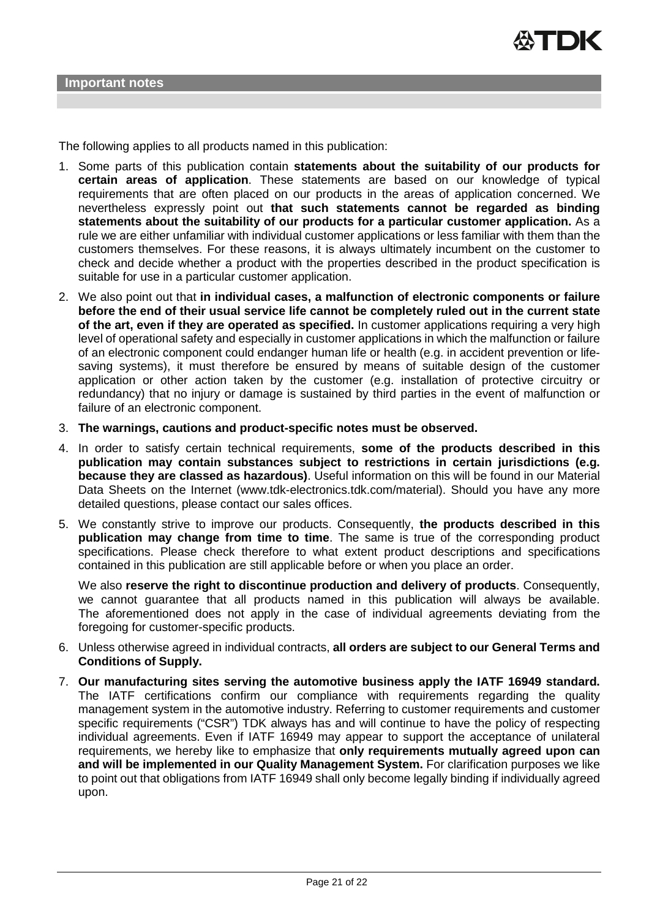The following applies to all products named in this publication:

- 1. Some parts of this publication contain **statements about the suitability of our products for certain areas of application**. These statements are based on our knowledge of typical requirements that are often placed on our products in the areas of application concerned. We nevertheless expressly point out **that such statements cannot be regarded as binding statements about the suitability of our products for a particular customer application.** As a rule we are either unfamiliar with individual customer applications or less familiar with them than the customers themselves. For these reasons, it is always ultimately incumbent on the customer to check and decide whether a product with the properties described in the product specification is suitable for use in a particular customer application.
- 2. We also point out that **in individual cases, a malfunction of electronic components or failure before the end of their usual service life cannot be completely ruled out in the current state of the art, even if they are operated as specified.** In customer applications requiring a very high level of operational safety and especially in customer applications in which the malfunction or failure of an electronic component could endanger human life or health (e.g. in accident prevention or lifesaving systems), it must therefore be ensured by means of suitable design of the customer application or other action taken by the customer (e.g. installation of protective circuitry or redundancy) that no injury or damage is sustained by third parties in the event of malfunction or failure of an electronic component.
- 3. **The warnings, cautions and product-specific notes must be observed.**
- 4. In order to satisfy certain technical requirements, **some of the products described in this publication may contain substances subject to restrictions in certain jurisdictions (e.g. because they are classed as hazardous)**. Useful information on this will be found in our Material Data Sheets on the Internet (www.tdk-electronics.tdk.com/material). Should you have any more detailed questions, please contact our sales offices.
- 5. We constantly strive to improve our products. Consequently, **the products described in this publication may change from time to time**. The same is true of the corresponding product specifications. Please check therefore to what extent product descriptions and specifications contained in this publication are still applicable before or when you place an order.

We also **reserve the right to discontinue production and delivery of products**. Consequently, we cannot guarantee that all products named in this publication will always be available. The aforementioned does not apply in the case of individual agreements deviating from the foregoing for customer-specific products.

- 6. Unless otherwise agreed in individual contracts, **all orders are subject to our General Terms and Conditions of Supply.**
- 7. **Our manufacturing sites serving the automotive business apply the IATF 16949 standard.** The IATF certifications confirm our compliance with requirements regarding the quality management system in the automotive industry. Referring to customer requirements and customer specific requirements ("CSR") TDK always has and will continue to have the policy of respecting individual agreements. Even if IATF 16949 may appear to support the acceptance of unilateral requirements, we hereby like to emphasize that **only requirements mutually agreed upon can and will be implemented in our Quality Management System.** For clarification purposes we like to point out that obligations from IATF 16949 shall only become legally binding if individually agreed upon.